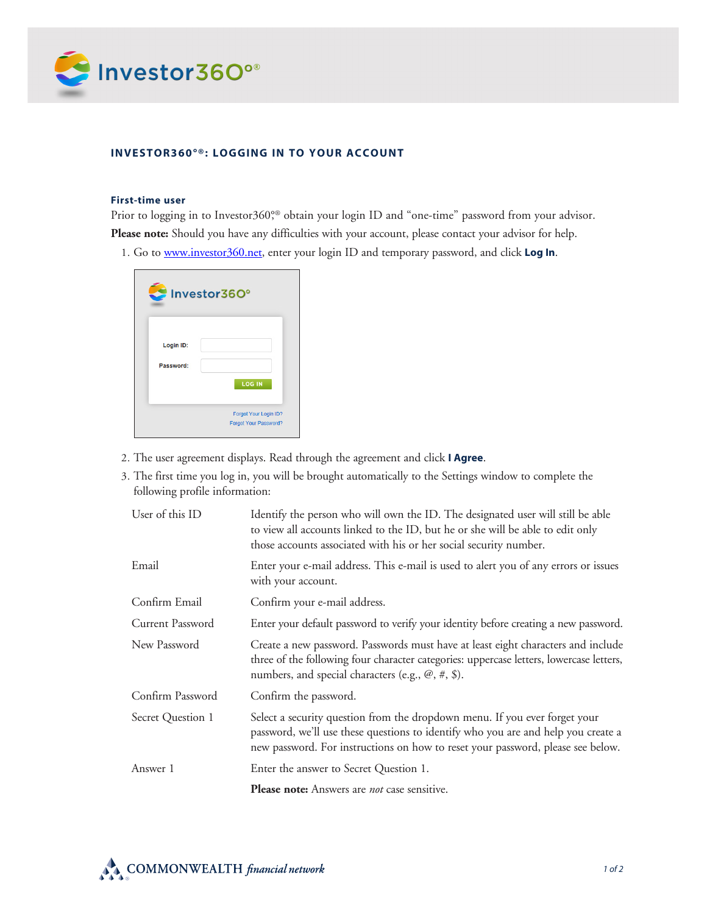

## **INVESTOR360°®: LOGGING IN TO YOUR ACCOUNT**

## **First-time user**

Prior to logging in to Investor360°,<sup>®</sup> obtain your login ID and "one-time" password from your advisor. **Please note:** Should you have any difficulties with your account, please contact your advisor for help.

1. Go to www.investor360.net, enter your login ID and temporary password, and click **Log In**.



- 2. The user agreement displays. Read through the agreement and click **I Agree**.
- 3. The first time you log in, you will be brought automatically to the Settings window to complete the following profile information:

| User of this ID   | Identify the person who will own the ID. The designated user will still be able<br>to view all accounts linked to the ID, but he or she will be able to edit only<br>those accounts associated with his or her social security number.             |
|-------------------|----------------------------------------------------------------------------------------------------------------------------------------------------------------------------------------------------------------------------------------------------|
| Email             | Enter your e-mail address. This e-mail is used to alert you of any errors or issues<br>with your account.                                                                                                                                          |
| Confirm Email     | Confirm your e-mail address.                                                                                                                                                                                                                       |
| Current Password  | Enter your default password to verify your identity before creating a new password.                                                                                                                                                                |
| New Password      | Create a new password. Passwords must have at least eight characters and include<br>three of the following four character categories: uppercase letters, lowercase letters,<br>numbers, and special characters (e.g., $(\mathcal{Q}, \#, \$)$ ).   |
| Confirm Password  | Confirm the password.                                                                                                                                                                                                                              |
| Secret Question 1 | Select a security question from the dropdown menu. If you ever forget your<br>password, we'll use these questions to identify who you are and help you create a<br>new password. For instructions on how to reset your password, please see below. |
| Answer 1          | Enter the answer to Secret Question 1.                                                                                                                                                                                                             |
|                   | <b>Please note:</b> Answers are <i>not</i> case sensitive.                                                                                                                                                                                         |